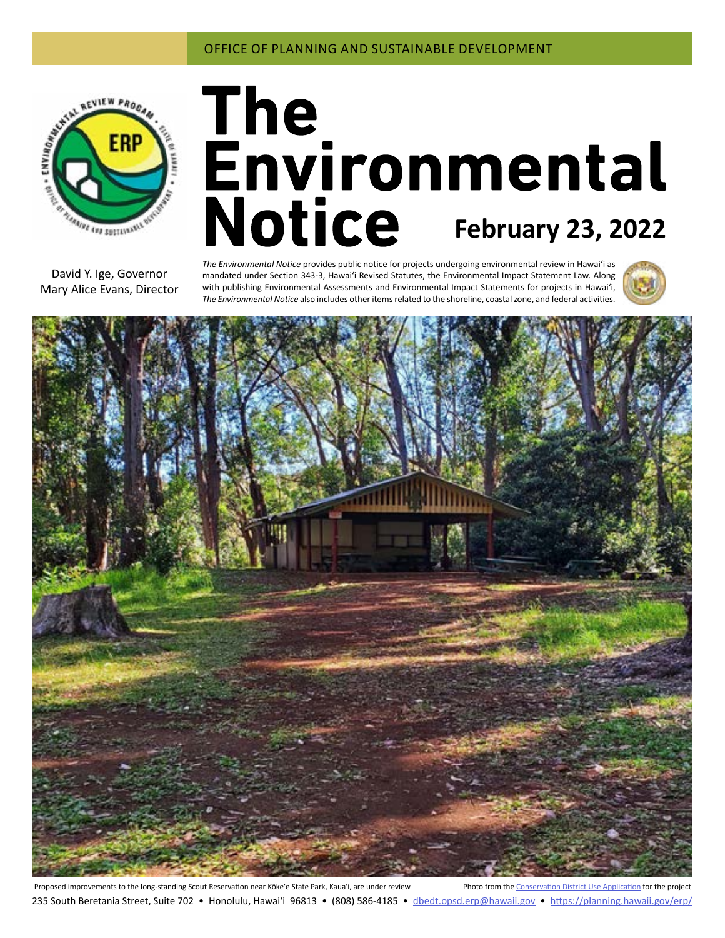

# **February 23, 2022**

David Y. Ige, Governor Mary Alice Evans, Director

*The Environmental Notice* provides public notice for projects undergoing environmental review in Hawaiʻi as mandated under Section 343-3, Hawaiʻi Revised Statutes, the Environmental Impact Statement Law. Along with publishing Environmental Assessments and Environmental Impact Statements for projects in Hawai'i, *The Environmental Notice* also includes other items related to the shoreline, coastal zone, and federal activities.





Proposed improvements to the long-standing Scout Reservation near Kōke'e State Park, Kaua'i, are under review Photo from the [Conservation District Use Application](#page-3-0) for the project 235 South Beretania Street, Suite 702 • Honolulu, Hawai'i 96813 • (808) 586-4185 • dbedt.opsd.erp[@hawaii.gov](mailto:dbedt.opsd.erp%40hawaii.gov?subject=) • <https://planning.hawaii.gov/erp/>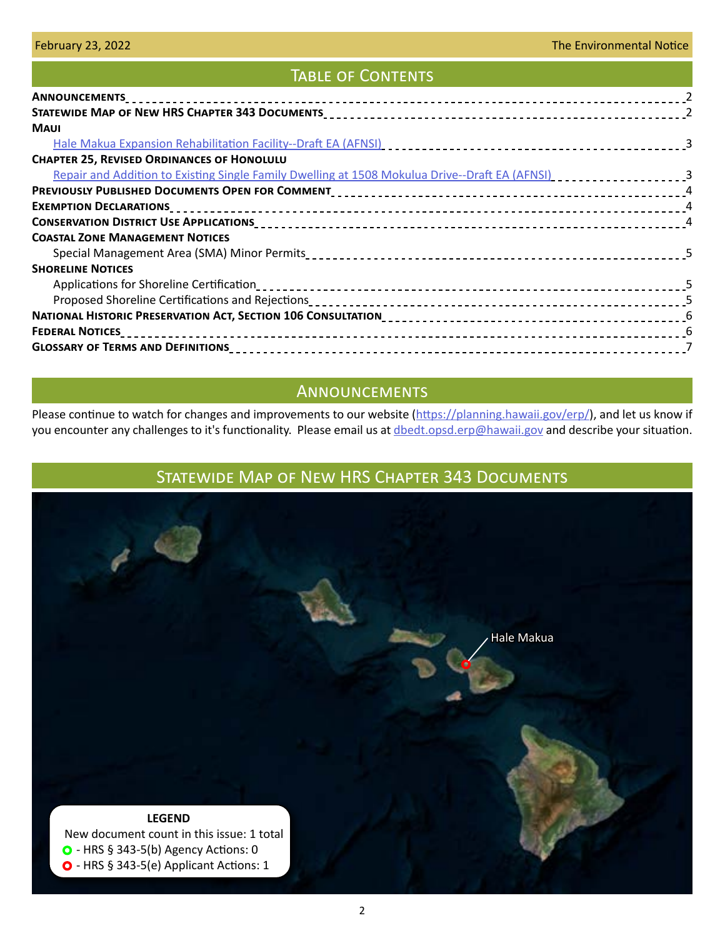# TABLE OF CONTENTS

| <b>MAUI</b>                                                                                    |  |
|------------------------------------------------------------------------------------------------|--|
|                                                                                                |  |
| <b>CHAPTER 25, REVISED ORDINANCES OF HONOLULU</b>                                              |  |
| Repair and Addition to Existing Single Family Dwelling at 1508 Mokulua Drive--Draft EA (AFNSI) |  |
|                                                                                                |  |
|                                                                                                |  |
|                                                                                                |  |
| <b>COASTAL ZONE MANAGEMENT NOTICES</b>                                                         |  |
|                                                                                                |  |
| <b>SHORELINE NOTICES</b>                                                                       |  |
|                                                                                                |  |
|                                                                                                |  |
|                                                                                                |  |
|                                                                                                |  |
|                                                                                                |  |

# Announcements

Please continue to watch for changes and improvements to our website [\(https://planning.hawaii.gov/erp/](https://planning.hawaii.gov/erp/)), and let us know if you encounter any challenges to it's functionality. Please email us at [dbedt.opsd.erp@hawaii.gov](mailto:dbedt.opsd.erp%40hawaii.gov?subject=) and describe your situation.

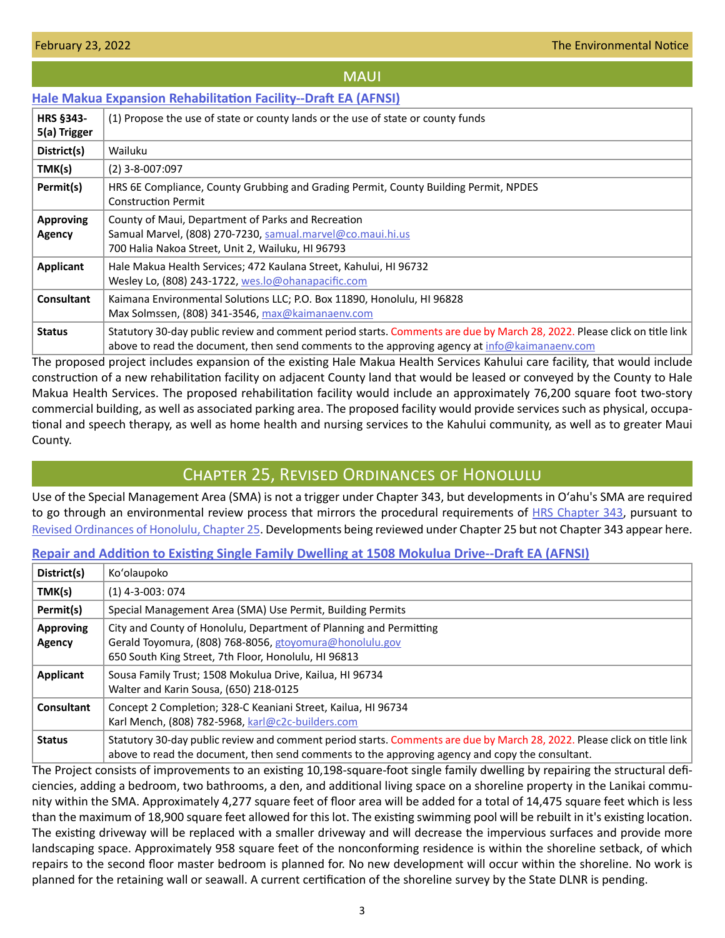### **MAUI**

## <span id="page-2-0"></span>**[Hale Makua Expansion Rehabilitation Facility--Draft EA \(AFNSI\)](https://files.hawaii.gov/dbedt/erp/Doc_Library/2022-02-23-MA-DEA-Hale-Makua-Expansion-Rehabilitation-Facility.pdf)**

| <b>HRS §343-</b><br>5(a) Trigger  | (1) Propose the use of state or county lands or the use of state or county funds                                                                                                                                          |
|-----------------------------------|---------------------------------------------------------------------------------------------------------------------------------------------------------------------------------------------------------------------------|
| District(s)                       | Wailuku                                                                                                                                                                                                                   |
| TMK(s)                            | $(2)$ 3-8-007:097                                                                                                                                                                                                         |
| Permit(s)                         | HRS 6E Compliance, County Grubbing and Grading Permit, County Building Permit, NPDES<br><b>Construction Permit</b>                                                                                                        |
| <b>Approving</b><br><b>Agency</b> | County of Maui, Department of Parks and Recreation<br>Samual Marvel, (808) 270-7230, samual.marvel@co.maui.hi.us<br>700 Halia Nakoa Street, Unit 2, Wailuku, HI 96793                                                     |
| Applicant                         | Hale Makua Health Services; 472 Kaulana Street, Kahului, HI 96732<br>Wesley Lo, (808) 243-1722, wes.lo@ohanapacific.com                                                                                                   |
| <b>Consultant</b>                 | Kaimana Environmental Solutions LLC; P.O. Box 11890, Honolulu, HI 96828<br>Max Solmssen, (808) 341-3546, max@kaimanaenv.com                                                                                               |
| <b>Status</b>                     | Statutory 30-day public review and comment period starts. Comments are due by March 28, 2022. Please click on title link<br>above to read the document, then send comments to the approving agency at info@kaimanaenv.com |

The proposed project includes expansion of the existing Hale Makua Health Services Kahului care facility, that would include construction of a new rehabilitation facility on adjacent County land that would be leased or conveyed by the County to Hale Makua Health Services. The proposed rehabilitation facility would include an approximately 76,200 square foot two-story commercial building, as well as associated parking area. The proposed facility would provide services such as physical, occupational and speech therapy, as well as home health and nursing services to the Kahului community, as well as to greater Maui County.

# Chapter 25, Revised Ordinances of Honolulu

Use of the Special Management Area (SMA) is not a trigger under Chapter 343, but developments in Oʻahu's SMA are required to go through an environmental review process that mirrors the procedural requirements of [HRS Chapter 343](https://www.capitol.hawaii.gov/hrscurrent/Vol06_Ch0321-0344/HRS0343/HRS_0343-.htm), pursuant to [Revised Ordinances of Honolulu, Chapter 25.](https://www.honolulu.gov/rep/site/ocs/roh/ROH_Chapter_25_article_1_12.pdf) Developments being reviewed under Chapter 25 but not Chapter 343 appear here.

## **[Repair and Addition to Existing Single Family Dwelling at 1508 Mokulua Drive--Draft EA \(AFNSI\)](https://files.hawaii.gov/dbedt/erp/Other_TEN_Publications/2022-02-23-OA-Chapter-25-DEA-Repair-and-Addition-to-Existing-SFR-1508-Mokulua-Dr.pdf)**

| District(s)                | Ko'olaupoko                                                                                                                                                                                                                 |
|----------------------------|-----------------------------------------------------------------------------------------------------------------------------------------------------------------------------------------------------------------------------|
| TMK(s)                     | $(1)$ 4-3-003: 074                                                                                                                                                                                                          |
| Permit(s)                  | Special Management Area (SMA) Use Permit, Building Permits                                                                                                                                                                  |
| <b>Approving</b><br>Agency | City and County of Honolulu, Department of Planning and Permitting<br>Gerald Toyomura, (808) 768-8056, gtoyomura@honolulu.gov<br>650 South King Street, 7th Floor, Honolulu, HI 96813                                       |
| Applicant                  | Sousa Family Trust; 1508 Mokulua Drive, Kailua, HI 96734<br>Walter and Karin Sousa, (650) 218-0125                                                                                                                          |
| <b>Consultant</b>          | Concept 2 Completion; 328-C Keaniani Street, Kailua, HI 96734<br>Karl Mench, (808) 782-5968, karl@c2c-builders.com                                                                                                          |
| <b>Status</b>              | Statutory 30-day public review and comment period starts. Comments are due by March 28, 2022. Please click on title link<br>above to read the document, then send comments to the approving agency and copy the consultant. |

The Project consists of improvements to an existing 10,198-square-foot single family dwelling by repairing the structural deficiencies, adding a bedroom, two bathrooms, a den, and additional living space on a shoreline property in the Lanikai community within the SMA. Approximately 4,277 square feet of floor area will be added for a total of 14,475 square feet which is less than the maximum of 18,900 square feet allowed for this lot. The existing swimming pool will be rebuilt in it's existing location. The existing driveway will be replaced with a smaller driveway and will decrease the impervious surfaces and provide more landscaping space. Approximately 958 square feet of the nonconforming residence is within the shoreline setback, of which repairs to the second floor master bedroom is planned for. No new development will occur within the shoreline. No work is planned for the retaining wall or seawall. A current certification of the shoreline survey by the State DLNR is pending.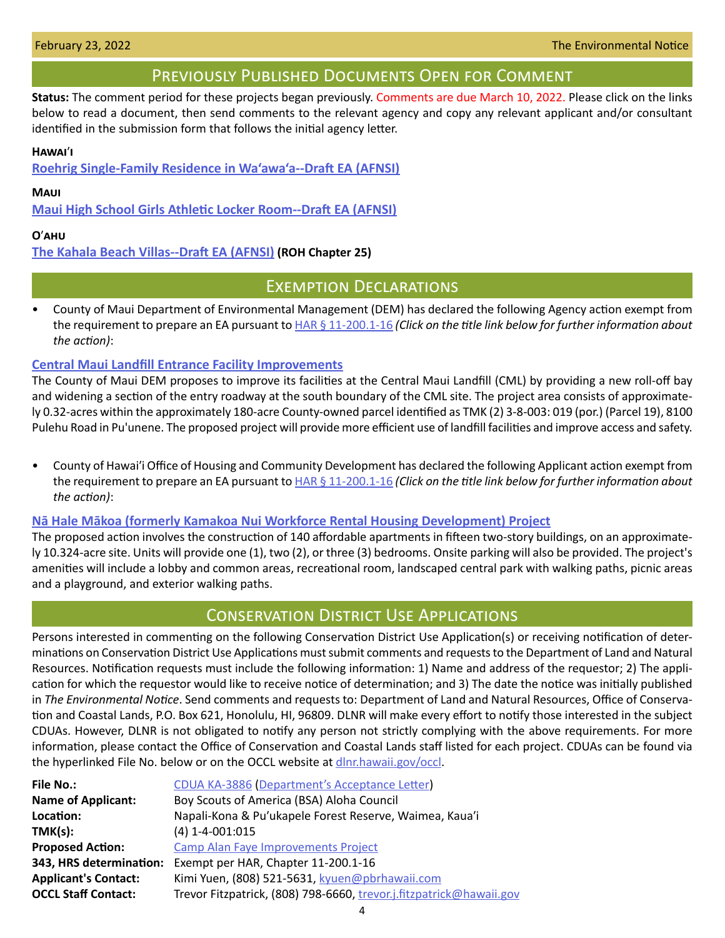# Previously Published Documents Open for Comment

<span id="page-3-0"></span>**Status:** The comment period for these projects began previously. Comments are due March 10, 2022. Please click on the links below to read a document, then send comments to the relevant agency and copy any relevant applicant and/or consultant identified in the submission form that follows the initial agency letter.

## **Hawai**ʹ**i**

**[Roehrig Single-Family Residence in Wa'awa'a--Draft EA \(AFNSI\)](https://files.hawaii.gov/dbedt/erp/Doc_Library/2022-02-08-HA-DEA-Roehrig-SFR-in-Waawaa.pdf)**

## **Maui**

**[Maui High School Girls Athletic Locker Room--Draft EA \(AFNSI\)](https://files.hawaii.gov/dbedt/erp/Doc_Library/2022-02-08-MA-DEA-Maui-High-School-Girls-Locker-Room.pdf)**

## **O**ʹ**ahu**

## **[The Kahala Beach Villas--Draft EA \(AFNSI\)](https://files.hawaii.gov/dbedt/erp/Other_TEN_Publications/2022-02-08-OA-Chapter-25-DEA-Kahala-Beach-Villas.pdf) (ROH Chapter 25)**

# Exemption Declarations

• County of Maui Department of Environmental Management (DEM) has declared the following Agency action exempt from the requirement to prepare an EA pursuant to **HAR § 11-200.1-16** *(Click on the title link below for further information about the action)*:

## **[Central Maui Landfill Entrance Facility Improvements](https://files.hawaii.gov/dbedt/erp/Other_TEN_Publications/2022-02-23-MA-Exemption-Maui-DEM-Central-Maui-Landfill-Entrance-Facility-Improvements.pdf)**

The County of Maui DEM proposes to improve its facilities at the Central Maui Landfill (CML) by providing a new roll-off bay and widening a section of the entry roadway at the south boundary of the CML site. The project area consists of approximately 0.32-acres within the approximately 180-acre County-owned parcel identified as TMK (2) 3-8-003: 019 (por.) (Parcel 19), 8100 Pulehu Road in Pu'unene. The proposed project will provide more efficient use of landfill facilities and improve access and safety.

• County of Hawaiʹi Office of Housing and Community Development has declared the following Applicant action exempt from the requirement to prepare an EA pursuant to **HAR § 11-200.1-16** *(Click on the title link below for further information about the action)*:

## **N[ā Hale Mākoa \(formerly Kamakoa Nui Workforce Rental Housing Development\) Project](https://files.hawaii.gov/dbedt/erp/Other_TEN_Publications/2022-02-23-HA-Exemption-Hawaii-OHCD-Na-Hale-Makoa.pdf)**

The proposed action involves the construction of 140 affordable apartments in fifteen two-story buildings, on an approximately 10.324-acre site. Units will provide one (1), two (2), or three (3) bedrooms. Onsite parking will also be provided. The project's amenities will include a lobby and common areas, recreational room, landscaped central park with walking paths, picnic areas and a playground, and exterior walking paths.

# Conservation District Use Applications

Persons interested in commenting on the following Conservation District Use Application(s) or receiving notification of determinations on Conservation District Use Applications must submit comments and requests to the Department of Land and Natural Resources. Notification requests must include the following information: 1) Name and address of the requestor; 2) The application for which the requestor would like to receive notice of determination; and 3) The date the notice was initially published in *The Environmental Notice*. Send comments and requests to: Department of Land and Natural Resources, Office of Conservation and Coastal Lands, P.O. Box 621, Honolulu, HI, 96809. DLNR will make every effort to notify those interested in the subject CDUAs. However, DLNR is not obligated to notify any person not strictly complying with the above requirements. For more information, please contact the Office of Conservation and Coastal Lands staff listed for each project. CDUAs can be found via the hyperlinked File No. below or on the OCCL website at [dlnr.hawaii.gov/occl.](http://dlnr.hawaii.gov/occl)

| <b>File No.:</b>            | CDUA KA-3886 (Department's Acceptance Letter)                       |
|-----------------------------|---------------------------------------------------------------------|
| <b>Name of Applicant:</b>   | Boy Scouts of America (BSA) Aloha Council                           |
| Location:                   | Napali-Kona & Pu'ukapele Forest Reserve, Waimea, Kaua'i             |
| TMK(s):                     | $(4)$ 1-4-001:015                                                   |
| <b>Proposed Action:</b>     | <b>Camp Alan Faye Improvements Project</b>                          |
| 343, HRS determination:     | Exempt per HAR, Chapter 11-200.1-16                                 |
| <b>Applicant's Contact:</b> | Kimi Yuen, (808) 521-5631, kyuen@pbrhawaii.com                      |
| <b>OCCL Staff Contact:</b>  | Trevor Fitzpatrick, (808) 798-6660, trevor.j.fitzpatrick@hawaii.gov |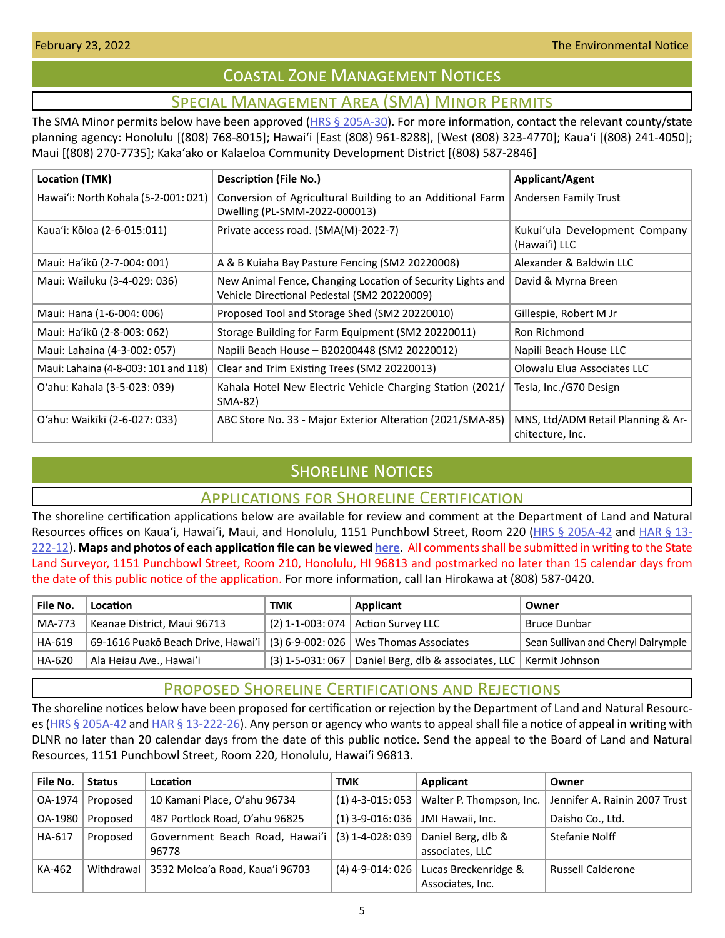# Coastal Zone Management Notices

# Special Management Area (SMA) Minor Permits

<span id="page-4-0"></span>The SMA Minor permits below have been approved ( $HRS \& 205A-30$ ). For more information, contact the relevant county/state planning agency: Honolulu [(808) 768-8015]; Hawaiʻi [East (808) 961-8288], [West (808) 323-4770]; Kauaʻi [(808) 241-4050]; Maui [(808) 270-7735]; Kakaʻako or Kalaeloa Community Development District [(808) 587-2846]

| Location (TMK)                       | <b>Description (File No.)</b>                                                                             | <b>Applicant/Agent</b>                                 |
|--------------------------------------|-----------------------------------------------------------------------------------------------------------|--------------------------------------------------------|
| Hawai'i: North Kohala (5-2-001: 021) | Conversion of Agricultural Building to an Additional Farm<br>Dwelling (PL-SMM-2022-000013)                | Andersen Family Trust                                  |
| Kaua'i: Kōloa (2-6-015:011)          | Private access road. (SMA(M)-2022-7)                                                                      | Kukui'ula Development Company<br>(Hawai'i) LLC         |
| Maui: Ha'ikū (2-7-004: 001)          | A & B Kuiaha Bay Pasture Fencing (SM2 20220008)                                                           | Alexander & Baldwin LLC                                |
| Maui: Wailuku (3-4-029: 036)         | New Animal Fence, Changing Location of Security Lights and<br>Vehicle Directional Pedestal (SM2 20220009) | David & Myrna Breen                                    |
| Maui: Hana (1-6-004: 006)            | Proposed Tool and Storage Shed (SM2 20220010)                                                             | Gillespie, Robert M Jr                                 |
| Maui: Ha'ikū (2-8-003: 062)          | Storage Building for Farm Equipment (SM2 20220011)                                                        | Ron Richmond                                           |
| Maui: Lahaina (4-3-002: 057)         | Napili Beach House - B20200448 (SM2 20220012)                                                             | Napili Beach House LLC                                 |
| Maui: Lahaina (4-8-003: 101 and 118) | Clear and Trim Existing Trees (SM2 20220013)                                                              | Olowalu Elua Associates LLC                            |
| O'ahu: Kahala (3-5-023: 039)         | Kahala Hotel New Electric Vehicle Charging Station (2021/<br>SMA-82)                                      | Tesla, Inc./G70 Design                                 |
| O'ahu: Waikīkī (2-6-027: 033)        | ABC Store No. 33 - Major Exterior Alteration (2021/SMA-85)                                                | MNS, Ltd/ADM Retail Planning & Ar-<br>chitecture, Inc. |

# **SHORELINE NOTICES**

## Applications for Shoreline Certification

The shoreline certification applications below are available for review and comment at the Department of Land and Natural Resources offices on Kaua'i, Hawai'i, Maui, and Honolulu, 1151 Punchbowl Street, Room 220 ([HRS § 205A-42](https://www.capitol.hawaii.gov/hrscurrent/Vol04_Ch0201-0257/HRS0205A/HRS_0205A-0042.htm) and [HAR § 13-](https://dlnr.hawaii.gov/ld/files/2013/07/Ch13-222-Amend-Compil-Stand-Rev1.pdf) [222-12](https://dlnr.hawaii.gov/ld/files/2013/07/Ch13-222-Amend-Compil-Stand-Rev1.pdf)). **Maps and photos of each application file can be viewed [here](https://ags.hawaii.gov/survey/shoreline/#apps)**. All comments shall be submitted in writing to the State Land Surveyor, 1151 Punchbowl Street, Room 210, Honolulu, HI 96813 and postmarked no later than 15 calendar days from the date of this public notice of the application. For more information, call Ian Hirokawa at (808) 587-0420.

| File No. | Location                                                                    | тмк | Applicant                                                               | Owner                              |
|----------|-----------------------------------------------------------------------------|-----|-------------------------------------------------------------------------|------------------------------------|
| MA-773   | Keanae District, Maui 96713                                                 |     | (2) 1-1-003: 074   Action Survey LLC                                    | Bruce Dunbar                       |
| HA-619   | 69-1616 Puakō Beach Drive, Hawai'i $(3)$ 6-9-002: 026 Wes Thomas Associates |     |                                                                         | Sean Sullivan and Cheryl Dalrymple |
| HA-620   | Ala Heiau Ave., Hawai'i                                                     |     | $(3)$ 1-5-031:067   Daniel Berg, dlb & associates, LLC   Kermit Johnson |                                    |

# Proposed Shoreline Certifications and Rejections

The shoreline notices below have been proposed for certification or rejection by the Department of Land and Natural Resources [\(HRS § 205A-42](http://HRS § 205A-42) and [HAR § 13-222-26\)](https://dlnr.hawaii.gov/ld/files/2013/07/Ch13-222-Amend-Compil-Stand-Rev1.pdf). Any person or agency who wants to appeal shall file a notice of appeal in writing with DLNR no later than 20 calendar days from the date of this public notice. Send the appeal to the Board of Land and Natural Resources, 1151 Punchbowl Street, Room 220, Honolulu, Hawai'i 96813.

| File No. | <b>Status</b> | Location                                                 | TMK                | Applicant                                     | Owner                         |
|----------|---------------|----------------------------------------------------------|--------------------|-----------------------------------------------|-------------------------------|
| OA-1974  | Proposed      | 10 Kamani Place, O'ahu 96734                             |                    | $(1)$ 4-3-015: 053   Walter P. Thompson, Inc. | Jennifer A. Rainin 2007 Trust |
| OA-1980  | Proposed      | 487 Portlock Road, O'ahu 96825                           | $(1)$ 3-9-016: 036 | JMI Hawaii, Inc.                              | Daisho Co., Ltd.              |
| HA-617   | Proposed      | Government Beach Road, Hawai'i (3) 1-4-028: 039<br>96778 |                    | Daniel Berg, dlb &<br>associates, LLC         | Stefanie Nolff                |
| KA-462   |               | Withdrawal   3532 Moloa'a Road, Kaua'i 96703             | $(4)$ 4-9-014: 026 | Lucas Breckenridge &<br>Associates, Inc.      | <b>Russell Calderone</b>      |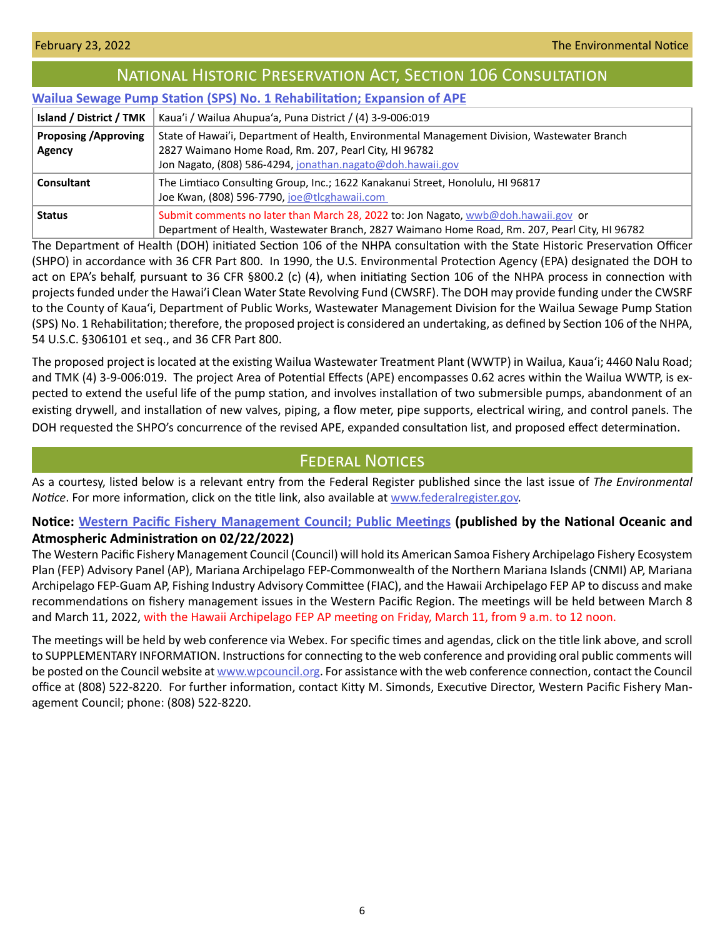<span id="page-5-0"></span>

| <b>NATIONAL HISTORIC PRESERVATION ACT, SECTION 106 CONSULTATION</b>            |                                                                                                                                                                                                                     |  |  |  |
|--------------------------------------------------------------------------------|---------------------------------------------------------------------------------------------------------------------------------------------------------------------------------------------------------------------|--|--|--|
| <b>Wailua Sewage Pump Station (SPS) No. 1 Rehabilitation; Expansion of APE</b> |                                                                                                                                                                                                                     |  |  |  |
| Island / District / TMK                                                        | Kaua'i / Wailua Ahupua'a, Puna District / (4) 3-9-006:019                                                                                                                                                           |  |  |  |
| <b>Proposing / Approving</b><br><b>Agency</b>                                  | State of Hawai'i, Department of Health, Environmental Management Division, Wastewater Branch<br>2827 Waimano Home Road, Rm. 207, Pearl City, HI 96782<br>Jon Nagato, (808) 586-4294, jonathan.nagato@doh.hawaii.gov |  |  |  |
| <b>Consultant</b>                                                              | The Limtiaco Consulting Group, Inc.; 1622 Kanakanui Street, Honolulu, HI 96817<br>Joe Kwan, (808) 596-7790, joe@tlcghawaii.com                                                                                      |  |  |  |
| <b>Status</b>                                                                  | Submit comments no later than March 28, 2022 to: Jon Nagato, wwb@doh.hawaii.gov or<br>Department of Health, Wastewater Branch, 2827 Waimano Home Road, Rm. 207, Pearl City, HI 96782                                |  |  |  |

The Department of Health (DOH) initiated Section 106 of the NHPA consultation with the State Historic Preservation Officer (SHPO) in accordance with 36 CFR Part 800. In 1990, the U.S. Environmental Protection Agency (EPA) designated the DOH to act on EPA's behalf, pursuant to 36 CFR §800.2 (c) (4), when initiating Section 106 of the NHPA process in connection with projects funded under the Hawai'i Clean Water State Revolving Fund (CWSRF). The DOH may provide funding under the CWSRF to the County of Kaua'i, Department of Public Works, Wastewater Management Division for the Wailua Sewage Pump Station (SPS) No. 1 Rehabilitation; therefore, the proposed project is considered an undertaking, as defined by Section 106 of the NHPA, 54 U.S.C. §306101 et seq., and 36 CFR Part 800.

The proposed project is located at the existing Wailua Wastewater Treatment Plant (WWTP) in Wailua, Kaua'i; 4460 Nalu Road; and TMK (4) 3-9-006:019. The project Area of Potential Effects (APE) encompasses 0.62 acres within the Wailua WWTP, is expected to extend the useful life of the pump station, and involves installation of two submersible pumps, abandonment of an existing drywell, and installation of new valves, piping, a flow meter, pipe supports, electrical wiring, and control panels. The DOH requested the SHPO's concurrence of the revised APE, expanded consultation list, and proposed effect determination.

# **FEDERAL NOTICES**

As a courtesy, listed below is a relevant entry from the Federal Register published since the last issue of *The Environmental Notice*. For more information, click on the title link, also available at [www.federalregister.gov.](http://www.federalregister.gov)

# **Notice: [Western Pacific Fishery Management Council; Public Meetings](https://www.federalregister.gov/documents/2022/02/22/2022-03721/western-pacific-fishery-management-council-public-meetings) (published by the National Oceanic and**

## **Atmospheric Administration on 02/22/2022)**

The Western Pacific Fishery Management Council (Council) will hold its American Samoa Fishery Archipelago Fishery Ecosystem Plan (FEP) Advisory Panel (AP), Mariana Archipelago FEP-Commonwealth of the Northern Mariana Islands (CNMI) AP, Mariana Archipelago FEP-Guam AP, Fishing Industry Advisory Committee (FIAC), and the Hawaii Archipelago FEP AP to discuss and make recommendations on fishery management issues in the Western Pacific Region. The meetings will be held between March 8 and March 11, 2022, with the Hawaii Archipelago FEP AP meeting on Friday, March 11, from 9 a.m. to 12 noon.

The meetings will be held by web conference via Webex. For specific times and agendas, click on the title link above, and scroll to SUPPLEMENTARY INFORMATION. Instructions for connecting to the web conference and providing oral public comments will be posted on the Council website at [www.wpcouncil.org](http://www.wpcouncil.org). For assistance with the web conference connection, contact the Council office at (808) 522-8220. For further information, contact Kitty M. Simonds, Executive Director, Western Pacific Fishery Management Council; phone: (808) 522-8220.